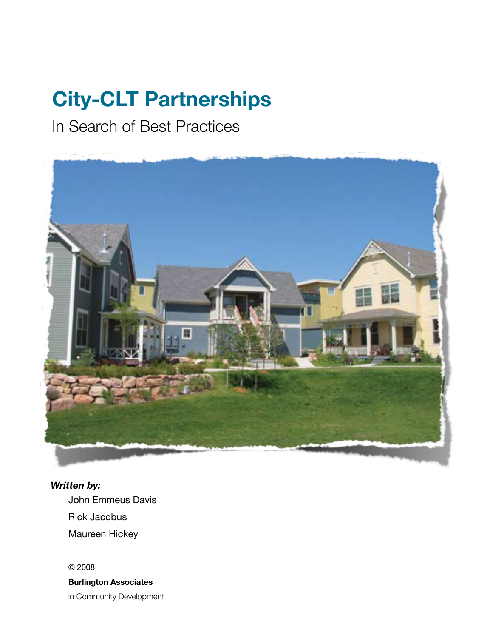## **City-CLT Partnerships**

In Search of Best Practices



*Written by:*

John Emmeus Davis Rick Jacobus Maureen Hickey

© 2008 **Burlington Associates** in Community Development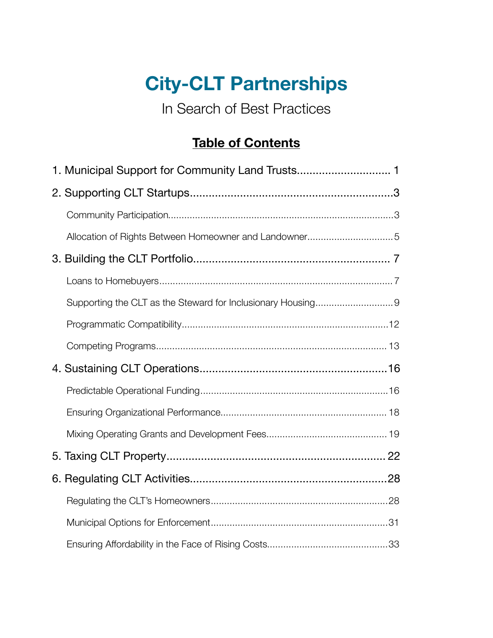## **City-CLT Partnerships**

 In Search of Best Practices

### **Table of Contents**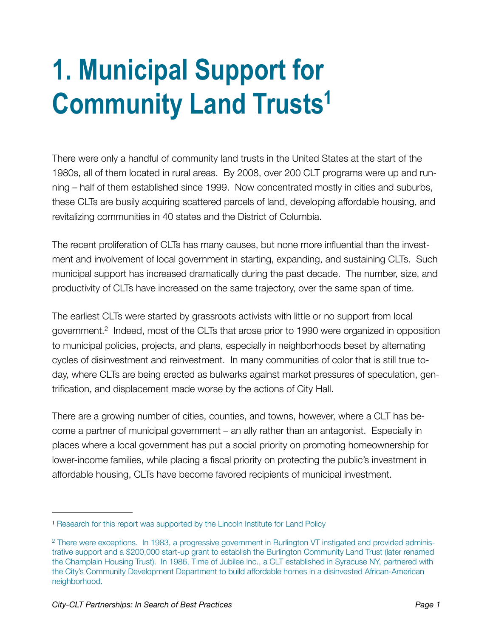## <span id="page-2-0"></span>**1. Municipal Support for Community Land Trust[s1](#page-2-1)**

There were only a handful of community land trusts in the United States at the start of the 1980s, all of them located in rural areas. By 2008, over 200 CLT programs were up and running – half of them established since 1999. Now concentrated mostly in cities and suburbs, these CLTs are busily acquiring scattered parcels of land, developing affordable housing, and revitalizing communities in 40 states and the District of Columbia.

The recent proliferation of CLTs has many causes, but none more influential than the investment and involvement of local government in starting, expanding, and sustaining CLTs. Such municipal support has increased dramatically during the past decade. The number, size, and productivity of CLTs have increased on the same trajectory, over the same span of time.

The earliest CLTs were started by grassroots activists with little or no support from local government.[2](#page-2-2) Indeed, most of the CLTs that arose prior to 1990 were organized in opposition to municipal policies, projects, and plans, especially in neighborhoods beset by alternating cycles of disinvestment and reinvestment. In many communities of color that is still true today, where CLTs are being erected as bulwarks against market pressures of speculation, gentrification, and displacement made worse by the actions of City Hall.

There are a growing number of cities, counties, and towns, however, where a CLT has become a partner of municipal government – an ally rather than an antagonist. Especially in places where a local government has put a social priority on promoting homeownership for lower-income families, while placing a fiscal priority on protecting the public's investment in affordable housing, CLTs have become favored recipients of municipal investment.

<span id="page-2-1"></span><sup>&</sup>lt;sup>1</sup> Research for this report was supported by the Lincoln Institute for Land Policy

<span id="page-2-2"></span><sup>2</sup> There were exceptions. In 1983, a progressive government in Burlington VT instigated and provided administrative support and a \$200,000 start-up grant to establish the Burlington Community Land Trust (later renamed the Champlain Housing Trust). In 1986, Time of Jubilee Inc., a CLT established in Syracuse NY, partnered with the City's Community Development Department to build affordable homes in a disinvested African-American neighborhood.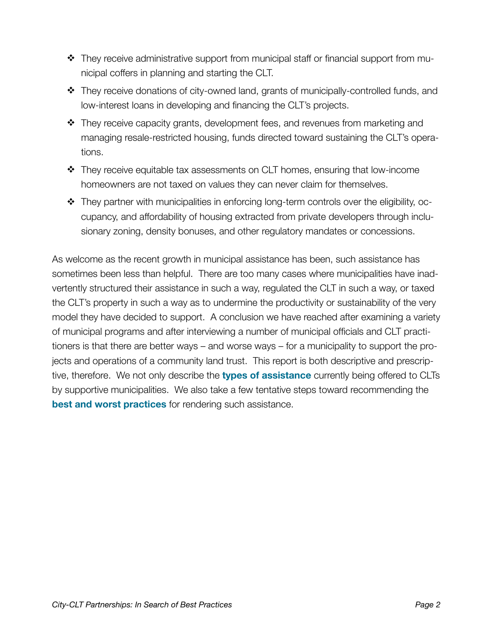- \* They receive administrative support from municipal staff or financial support from municipal coffers in planning and starting the CLT.
- They receive donations of city-owned land, grants of municipally-controlled funds, and low-interest loans in developing and financing the CLT's projects.
- \* They receive capacity grants, development fees, and revenues from marketing and managing resale-restricted housing, funds directed toward sustaining the CLT's operations.
- They receive equitable tax assessments on CLT homes, ensuring that low-income homeowners are not taxed on values they can never claim for themselves.
- $\div$  They partner with municipalities in enforcing long-term controls over the eligibility, occupancy, and affordability of housing extracted from private developers through inclusionary zoning, density bonuses, and other regulatory mandates or concessions.

As welcome as the recent growth in municipal assistance has been, such assistance has sometimes been less than helpful. There are too many cases where municipalities have inadvertently structured their assistance in such a way, regulated the CLT in such a way, or taxed the CLT's property in such a way as to undermine the productivity or sustainability of the very model they have decided to support. A conclusion we have reached after examining a variety of municipal programs and after interviewing a number of municipal officials and CLT practitioners is that there are better ways – and worse ways – for a municipality to support the projects and operations of a community land trust. This report is both descriptive and prescriptive, therefore. We not only describe the **types of assistance** currently being offered to CLTs by supportive municipalities. We also take a few tentative steps toward recommending the **best and worst practices** for rendering such assistance.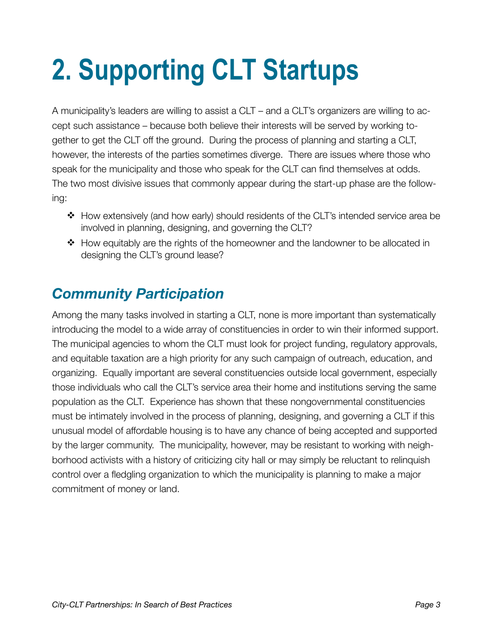# <span id="page-4-0"></span>**2. Supporting CLT Startups**

A municipality's leaders are willing to assist a CLT – and a CLT's organizers are willing to accept such assistance – because both believe their interests will be served by working together to get the CLT off the ground. During the process of planning and starting a CLT, however, the interests of the parties sometimes diverge. There are issues where those who speak for the municipality and those who speak for the CLT can find themselves at odds. The two most divisive issues that commonly appear during the start-up phase are the following:

- How extensively (and how early) should residents of the CLT's intended service area be involved in planning, designing, and governing the CLT?
- $\div$  How equitably are the rights of the homeowner and the landowner to be allocated in designing the CLT's ground lease?

## <span id="page-4-1"></span>*Community Participation*

Among the many tasks involved in starting a CLT, none is more important than systematically introducing the model to a wide array of constituencies in order to win their informed support. The municipal agencies to whom the CLT must look for project funding, regulatory approvals, and equitable taxation are a high priority for any such campaign of outreach, education, and organizing. Equally important are several constituencies outside local government, especially those individuals who call the CLT's service area their home and institutions serving the same population as the CLT. Experience has shown that these nongovernmental constituencies must be intimately involved in the process of planning, designing, and governing a CLT if this unusual model of affordable housing is to have any chance of being accepted and supported by the larger community. The municipality, however, may be resistant to working with neighborhood activists with a history of criticizing city hall or may simply be reluctant to relinquish control over a fledgling organization to which the municipality is planning to make a major commitment of money or land.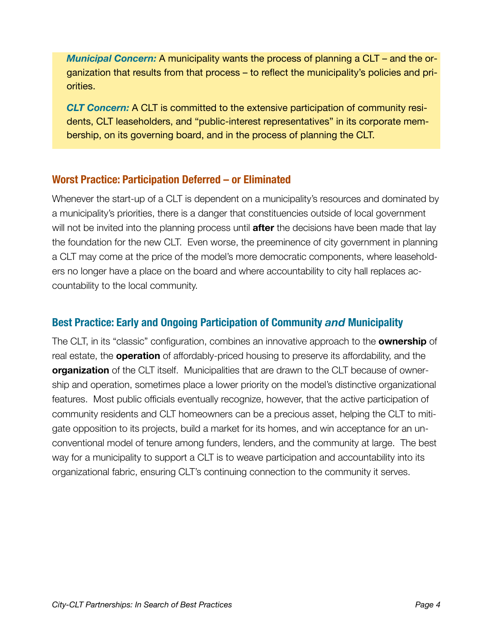*Municipal Concern:* A municipality wants the process of planning a CLT – and the organization that results from that process – to reflect the municipality's policies and priorities.

*CLT Concern:* A CLT is committed to the extensive participation of community residents, CLT leaseholders, and "public-interest representatives" in its corporate membership, on its governing board, and in the process of planning the CLT.

#### **Worst Practice: Participation Deferred – or Eliminated**

Whenever the start-up of a CLT is dependent on a municipality's resources and dominated by a municipality's priorities, there is a danger that constituencies outside of local government will not be invited into the planning process until **after** the decisions have been made that lay the foundation for the new CLT. Even worse, the preeminence of city government in planning a CLT may come at the price of the model's more democratic components, where leaseholders no longer have a place on the board and where accountability to city hall replaces accountability to the local community.

#### **Best Practice: Early and Ongoing Participation of Community** *and* **Municipality**

The CLT, in its "classic" configuration, combines an innovative approach to the **ownership** of real estate, the **operation** of affordably-priced housing to preserve its affordability, and the **organization** of the CLT itself. Municipalities that are drawn to the CLT because of ownership and operation, sometimes place a lower priority on the model's distinctive organizational features. Most public officials eventually recognize, however, that the active participation of community residents and CLT homeowners can be a precious asset, helping the CLT to mitigate opposition to its projects, build a market for its homes, and win acceptance for an unconventional model of tenure among funders, lenders, and the community at large. The best way for a municipality to support a CLT is to weave participation and accountability into its organizational fabric, ensuring CLT's continuing connection to the community it serves.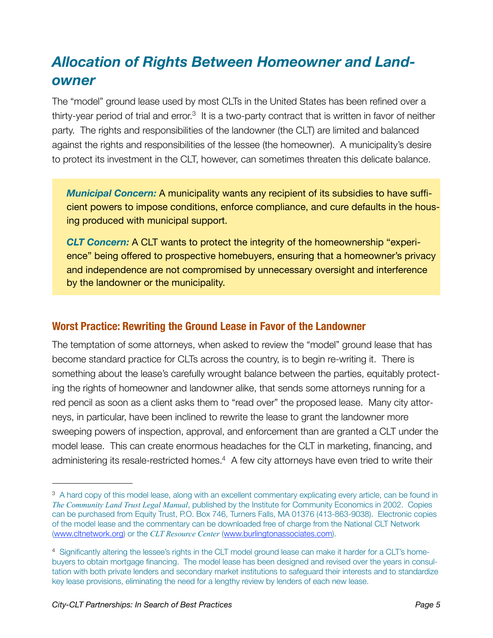## <span id="page-6-0"></span>*Allocation of Rights Between Homeowner and Landowner*

The "model" ground lease used by most CLTs in the United States has been refined over a thirty-year period of trial and error.<sup>3</sup> It is a two-party contract that is written in favor of neither party. The rights and responsibilities of the landowner (the CLT) are limited and balanced against the rights and responsibilities of the lessee (the homeowner). A municipality's desire to protect its investment in the CLT, however, can sometimes threaten this delicate balance.

*Municipal Concern:* A municipality wants any recipient of its subsidies to have sufficient powers to impose conditions, enforce compliance, and cure defaults in the housing produced with municipal support.

*CLT Concern:* A CLT wants to protect the integrity of the homeownership "experience" being offered to prospective homebuyers, ensuring that a homeowner's privacy and independence are not compromised by unnecessary oversight and interference by the landowner or the municipality.

#### **Worst Practice: Rewriting the Ground Lease in Favor of the Landowner**

The temptation of some attorneys, when asked to review the "model" ground lease that has become standard practice for CLTs across the country, is to begin re-writing it. There is something about the lease's carefully wrought balance between the parties, equitably protecting the rights of homeowner and landowner alike, that sends some attorneys running for a red pencil as soon as a client asks them to "read over" the proposed lease. Many city attorneys, in particular, have been inclined to rewrite the lease to grant the landowner more sweeping powers of inspection, approval, and enforcement than are granted a CLT under the model lease. This can create enormous headaches for the CLT in marketing, financing, and administering its resale-restricted homes.<sup>4</sup> A few city attorneys have even tried to write their

<span id="page-6-1"></span><sup>&</sup>lt;sup>3</sup> A hard copy of this model lease, along with an excellent commentary explicating every article, can be found in *The Community Land Trust Legal Manual*, published by the Institute for Community Economics in 2002. Copies can be purchased from Equity Trust, P.O. Box 746, Turners Falls, MA 01376 (413-863-9038). Electronic copies of the model lease and the commentary can be downloaded free of charge from the National CLT Network [\(www.cltnetwork.org](http://www.cltnetwork.org)) or the *CLT Resource Center* ([www.burlingtonassociates.com\)](http://www.burlingtonassociates.com).

<span id="page-6-2"></span><sup>4</sup> Significantly altering the lessee's rights in the CLT model ground lease can make it harder for a CLT's homebuyers to obtain mortgage financing. The model lease has been designed and revised over the years in consultation with both private lenders and secondary market institutions to safeguard their interests and to standardize key lease provisions, eliminating the need for a lengthy review by lenders of each new lease.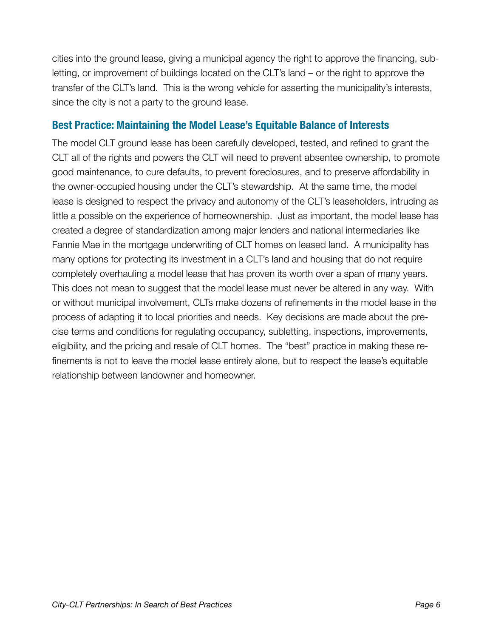cities into the ground lease, giving a municipal agency the right to approve the financing, subletting, or improvement of buildings located on the CLT's land – or the right to approve the transfer of the CLT's land. This is the wrong vehicle for asserting the municipality's interests, since the city is not a party to the ground lease.

#### **Best Practice: Maintaining the Model Lease's Equitable Balance of Interests**

The model CLT ground lease has been carefully developed, tested, and refined to grant the CLT all of the rights and powers the CLT will need to prevent absentee ownership, to promote good maintenance, to cure defaults, to prevent foreclosures, and to preserve affordability in the owner-occupied housing under the CLT's stewardship. At the same time, the model lease is designed to respect the privacy and autonomy of the CLT's leaseholders, intruding as little a possible on the experience of homeownership. Just as important, the model lease has created a degree of standardization among major lenders and national intermediaries like Fannie Mae in the mortgage underwriting of CLT homes on leased land. A municipality has many options for protecting its investment in a CLT's land and housing that do not require completely overhauling a model lease that has proven its worth over a span of many years. This does not mean to suggest that the model lease must never be altered in any way. With or without municipal involvement, CLTs make dozens of refinements in the model lease in the process of adapting it to local priorities and needs. Key decisions are made about the precise terms and conditions for regulating occupancy, subletting, inspections, improvements, eligibility, and the pricing and resale of CLT homes. The "best" practice in making these refinements is not to leave the model lease entirely alone, but to respect the lease's equitable relationship between landowner and homeowner.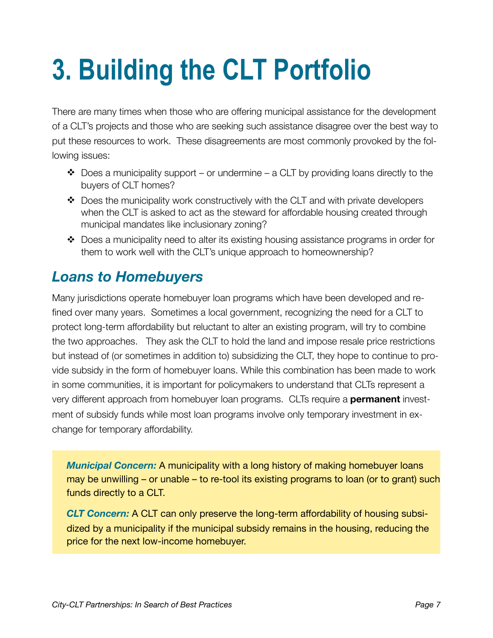## <span id="page-8-0"></span>**3. Building the CLT Portfolio**

There are many times when those who are offering municipal assistance for the development of a CLT's projects and those who are seeking such assistance disagree over the best way to put these resources to work. These disagreements are most commonly provoked by the following issues:

- $\triangle$  Does a municipality support or undermine a CLT by providing loans directly to the buyers of CLT homes?
- $\div$  Does the municipality work constructively with the CLT and with private developers when the CLT is asked to act as the steward for affordable housing created through municipal mandates like inclusionary zoning?
- $\clubsuit$  Does a municipality need to alter its existing housing assistance programs in order for them to work well with the CLT's unique approach to homeownership?

## <span id="page-8-1"></span>*Loans to Homebuyers*

Many jurisdictions operate homebuyer loan programs which have been developed and refined over many years. Sometimes a local government, recognizing the need for a CLT to protect long-term affordability but reluctant to alter an existing program, will try to combine the two approaches. They ask the CLT to hold the land and impose resale price restrictions but instead of (or sometimes in addition to) subsidizing the CLT, they hope to continue to provide subsidy in the form of homebuyer loans. While this combination has been made to work in some communities, it is important for policymakers to understand that CLTs represent a very different approach from homebuyer loan programs. CLTs require a **permanent** investment of subsidy funds while most loan programs involve only temporary investment in exchange for temporary affordability.

*Municipal Concern:* A municipality with a long history of making homebuyer loans may be unwilling – or unable – to re-tool its existing programs to loan (or to grant) such funds directly to a CLT.

*CLT Concern:* A CLT can only preserve the long-term affordability of housing subsidized by a municipality if the municipal subsidy remains in the housing, reducing the price for the next low-income homebuyer.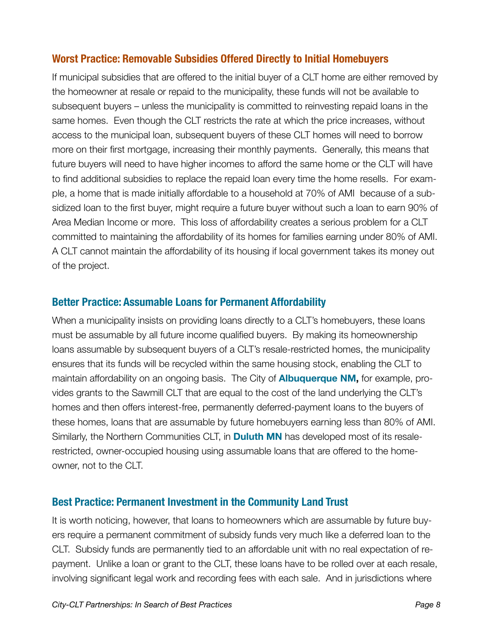#### **Worst Practice: Removable Subsidies Offered Directly to Initial Homebuyers**

If municipal subsidies that are offered to the initial buyer of a CLT home are either removed by the homeowner at resale or repaid to the municipality, these funds will not be available to subsequent buyers – unless the municipality is committed to reinvesting repaid loans in the same homes. Even though the CLT restricts the rate at which the price increases, without access to the municipal loan, subsequent buyers of these CLT homes will need to borrow more on their first mortgage, increasing their monthly payments. Generally, this means that future buyers will need to have higher incomes to afford the same home or the CLT will have to find additional subsidies to replace the repaid loan every time the home resells. For example, a home that is made initially affordable to a household at 70% of AMI because of a subsidized loan to the first buyer, might require a future buyer without such a loan to earn 90% of Area Median Income or more. This loss of affordability creates a serious problem for a CLT committed to maintaining the affordability of its homes for families earning under 80% of AMI. A CLT cannot maintain the affordability of its housing if local government takes its money out of the project.

#### **Better Practice: Assumable Loans for Permanent Affordability**

When a municipality insists on providing loans directly to a CLT's homebuyers, these loans must be assumable by all future income qualified buyers. By making its homeownership loans assumable by subsequent buyers of a CLT's resale-restricted homes, the municipality ensures that its funds will be recycled within the same housing stock, enabling the CLT to maintain affordability on an ongoing basis. The City of **Albuquerque NM,** for example, provides grants to the Sawmill CLT that are equal to the cost of the land underlying the CLT's homes and then offers interest-free, permanently deferred-payment loans to the buyers of these homes, loans that are assumable by future homebuyers earning less than 80% of AMI. Similarly, the Northern Communities CLT, in **Duluth MN** has developed most of its resalerestricted, owner-occupied housing using assumable loans that are offered to the homeowner, not to the CLT.

#### **Best Practice: Permanent Investment in the Community Land Trust**

It is worth noticing, however, that loans to homeowners which are assumable by future buyers require a permanent commitment of subsidy funds very much like a deferred loan to the CLT. Subsidy funds are permanently tied to an affordable unit with no real expectation of repayment. Unlike a loan or grant to the CLT, these loans have to be rolled over at each resale, involving significant legal work and recording fees with each sale. And in jurisdictions where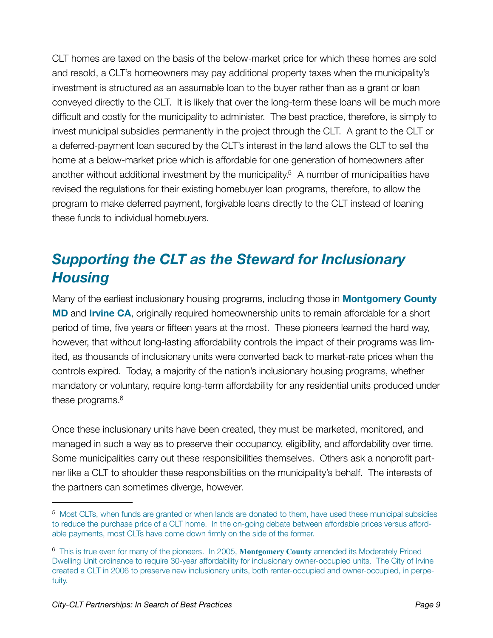CLT homes are taxed on the basis of the below-market price for which these homes are sold and resold, a CLT's homeowners may pay additional property taxes when the municipality's investment is structured as an assumable loan to the buyer rather than as a grant or loan conveyed directly to the CLT. It is likely that over the long-term these loans will be much more difficult and costly for the municipality to administer. The best practice, therefore, is simply to invest municipal subsidies permanently in the project through the CLT. A grant to the CLT or a deferred-payment loan secured by the CLT's interest in the land allows the CLT to sell the home at a below-market price which is affordable for one generation of homeowners after another without additional investment by the municipality.<sup>5</sup> A number of municipalities have revised the regulations for their existing homebuyer loan programs, therefore, to allow the program to make deferred payment, forgivable loans directly to the CLT instead of loaning these funds to individual homebuyers.

## <span id="page-10-0"></span>*Supporting the CLT as the Steward for Inclusionary Housing*

Many of the earliest inclusionary housing programs, including those in **Montgomery County MD** and **Irvine CA**, originally required homeownership units to remain affordable for a short period of time, five years or fifteen years at the most. These pioneers learned the hard way, however, that without long-lasting affordability controls the impact of their programs was limited, as thousands of inclusionary units were converted back to market-rate prices when the controls expired. Today, a majority of the nation's inclusionary housing programs, whether mandatory or voluntary, require long-term affordability for any residential units produced under these programs[.6](#page-10-2)

Once these inclusionary units have been created, they must be marketed, monitored, and managed in such a way as to preserve their occupancy, eligibility, and affordability over time. Some municipalities carry out these responsibilities themselves. Others ask a nonprofit partner like a CLT to shoulder these responsibilities on the municipality's behalf. The interests of the partners can sometimes diverge, however.

<span id="page-10-1"></span><sup>5</sup> Most CLTs, when funds are granted or when lands are donated to them, have used these municipal subsidies to reduce the purchase price of a CLT home. In the on-going debate between affordable prices versus affordable payments, most CLTs have come down firmly on the side of the former.

<span id="page-10-2"></span><sup>6</sup> This is true even for many of the pioneers. In 2005, **Montgomery County** amended its Moderately Priced Dwelling Unit ordinance to require 30-year affordability for inclusionary owner-occupied units. The City of Irvine created a CLT in 2006 to preserve new inclusionary units, both renter-occupied and owner-occupied, in perpetuity.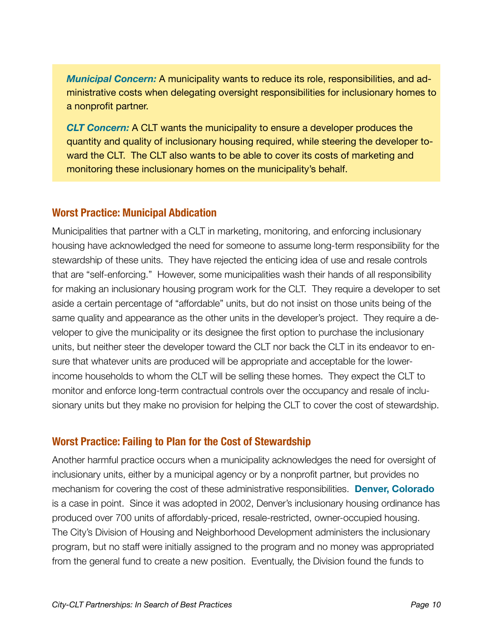*Municipal Concern:* A municipality wants to reduce its role, responsibilities, and administrative costs when delegating oversight responsibilities for inclusionary homes to a nonprofit partner.

*CLT Concern:* A CLT wants the municipality to ensure a developer produces the quantity and quality of inclusionary housing required, while steering the developer toward the CLT. The CLT also wants to be able to cover its costs of marketing and monitoring these inclusionary homes on the municipality's behalf.

#### **Worst Practice: Municipal Abdication**

Municipalities that partner with a CLT in marketing, monitoring, and enforcing inclusionary housing have acknowledged the need for someone to assume long-term responsibility for the stewardship of these units. They have rejected the enticing idea of use and resale controls that are "self-enforcing." However, some municipalities wash their hands of all responsibility for making an inclusionary housing program work for the CLT. They require a developer to set aside a certain percentage of "affordable" units, but do not insist on those units being of the same quality and appearance as the other units in the developer's project. They require a developer to give the municipality or its designee the first option to purchase the inclusionary units, but neither steer the developer toward the CLT nor back the CLT in its endeavor to ensure that whatever units are produced will be appropriate and acceptable for the lowerincome households to whom the CLT will be selling these homes. They expect the CLT to monitor and enforce long-term contractual controls over the occupancy and resale of inclusionary units but they make no provision for helping the CLT to cover the cost of stewardship.

#### **Worst Practice: Failing to Plan for the Cost of Stewardship**

Another harmful practice occurs when a municipality acknowledges the need for oversight of inclusionary units, either by a municipal agency or by a nonprofit partner, but provides no mechanism for covering the cost of these administrative responsibilities. **Denver, Colorado** is a case in point. Since it was adopted in 2002, Denver's inclusionary housing ordinance has produced over 700 units of affordably-priced, resale-restricted, owner-occupied housing. The City's Division of Housing and Neighborhood Development administers the inclusionary program, but no staff were initially assigned to the program and no money was appropriated from the general fund to create a new position. Eventually, the Division found the funds to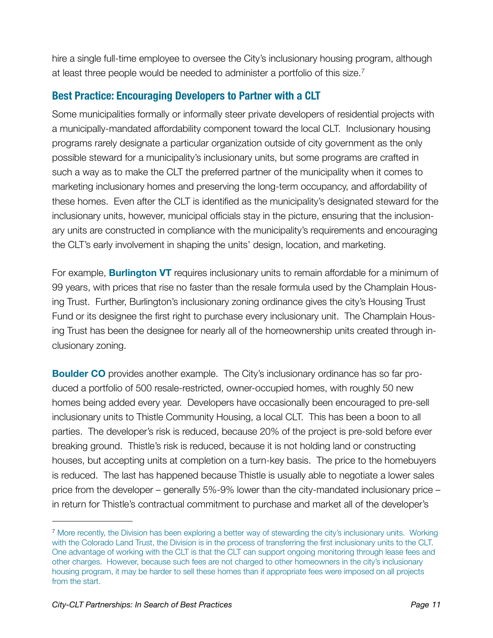hire a single full-time employee to oversee the City's inclusionary housing program, although at least three people would be needed to administer a portfolio of this size.<sup>[7](#page-12-0)</sup>

#### **Best Practice: Encouraging Developers to Partner with a CLT**

Some municipalities formally or informally steer private developers of residential projects with a municipally-mandated affordability component toward the local CLT. Inclusionary housing programs rarely designate a particular organization outside of city government as the only possible steward for a municipality's inclusionary units, but some programs are crafted in such a way as to make the CLT the preferred partner of the municipality when it comes to marketing inclusionary homes and preserving the long-term occupancy, and affordability of these homes. Even after the CLT is identified as the municipality's designated steward for the inclusionary units, however, municipal officials stay in the picture, ensuring that the inclusionary units are constructed in compliance with the municipality's requirements and encouraging the CLT's early involvement in shaping the units' design, location, and marketing.

For example, **Burlington VT** requires inclusionary units to remain affordable for a minimum of 99 years, with prices that rise no faster than the resale formula used by the Champlain Housing Trust. Further, Burlington's inclusionary zoning ordinance gives the city's Housing Trust Fund or its designee the first right to purchase every inclusionary unit. The Champlain Housing Trust has been the designee for nearly all of the homeownership units created through inclusionary zoning.

**Boulder CO** provides another example. The City's inclusionary ordinance has so far produced a portfolio of 500 resale-restricted, owner-occupied homes, with roughly 50 new homes being added every year. Developers have occasionally been encouraged to pre-sell inclusionary units to Thistle Community Housing, a local CLT. This has been a boon to all parties. The developer's risk is reduced, because 20% of the project is pre-sold before ever breaking ground. Thistle's risk is reduced, because it is not holding land or constructing houses, but accepting units at completion on a turn-key basis. The price to the homebuyers is reduced. The last has happened because Thistle is usually able to negotiate a lower sales price from the developer – generally 5%-9% lower than the city-mandated inclusionary price – in return for Thistle's contractual commitment to purchase and market all of the developer's

<span id="page-12-0"></span><sup>7</sup> More recently, the Division has been exploring a better way of stewarding the city's inclusionary units. Working with the Colorado Land Trust, the Division is in the process of transferring the first inclusionary units to the CLT. One advantage of working with the CLT is that the CLT can support ongoing monitoring through lease fees and other charges. However, because such fees are not charged to other homeowners in the city's inclusionary housing program, it may be harder to sell these homes than if appropriate fees were imposed on all projects from the start.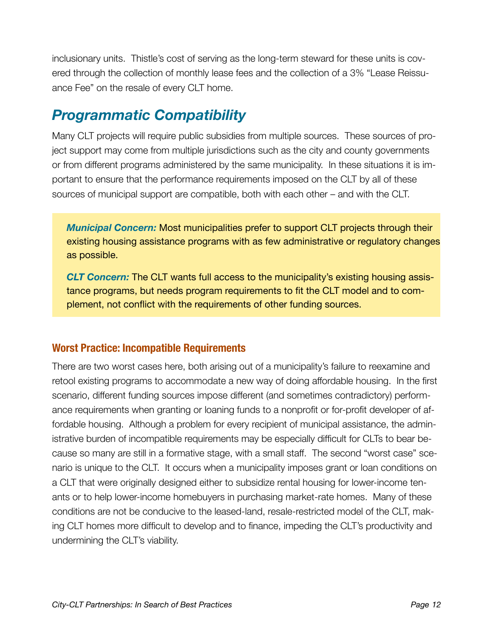inclusionary units. Thistle's cost of serving as the long-term steward for these units is covered through the collection of monthly lease fees and the collection of a 3% "Lease Reissuance Fee" on the resale of every CLT home.

## <span id="page-13-0"></span>*Programmatic Compatibility*

Many CLT projects will require public subsidies from multiple sources. These sources of project support may come from multiple jurisdictions such as the city and county governments or from different programs administered by the same municipality. In these situations it is important to ensure that the performance requirements imposed on the CLT by all of these sources of municipal support are compatible, both with each other – and with the CLT.

*Municipal Concern:* Most municipalities prefer to support CLT projects through their existing housing assistance programs with as few administrative or regulatory changes as possible.

*CLT Concern:* The CLT wants full access to the municipality's existing housing assistance programs, but needs program requirements to fit the CLT model and to complement, not conflict with the requirements of other funding sources.

#### **Worst Practice: Incompatible Requirements**

There are two worst cases here, both arising out of a municipality's failure to reexamine and retool existing programs to accommodate a new way of doing affordable housing. In the first scenario, different funding sources impose different (and sometimes contradictory) performance requirements when granting or loaning funds to a nonprofit or for-profit developer of affordable housing. Although a problem for every recipient of municipal assistance, the administrative burden of incompatible requirements may be especially difficult for CLTs to bear because so many are still in a formative stage, with a small staff. The second "worst case" scenario is unique to the CLT. It occurs when a municipality imposes grant or loan conditions on a CLT that were originally designed either to subsidize rental housing for lower-income tenants or to help lower-income homebuyers in purchasing market-rate homes. Many of these conditions are not be conducive to the leased-land, resale-restricted model of the CLT, making CLT homes more difficult to develop and to finance, impeding the CLT's productivity and undermining the CLT's viability.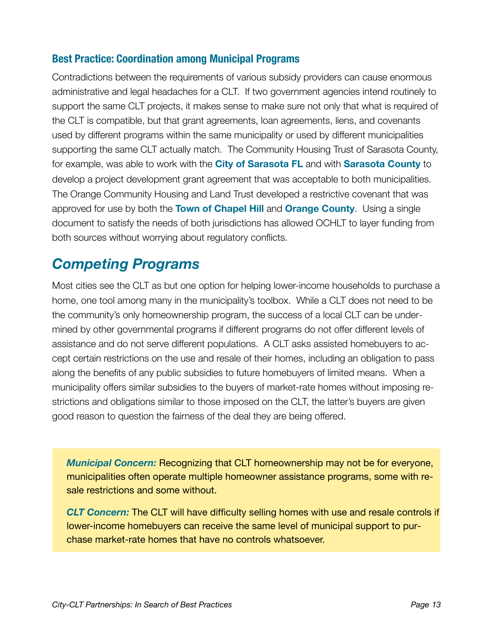#### **Best Practice: Coordination among Municipal Programs**

Contradictions between the requirements of various subsidy providers can cause enormous administrative and legal headaches for a CLT. If two government agencies intend routinely to support the same CLT projects, it makes sense to make sure not only that what is required of the CLT is compatible, but that grant agreements, loan agreements, liens, and covenants used by different programs within the same municipality or used by different municipalities supporting the same CLT actually match. The Community Housing Trust of Sarasota County, for example, was able to work with the **City of Sarasota FL** and with **Sarasota County** to develop a project development grant agreement that was acceptable to both municipalities. The Orange Community Housing and Land Trust developed a restrictive covenant that was approved for use by both the **Town of Chapel Hill** and **Orange County**. Using a single document to satisfy the needs of both jurisdictions has allowed OCHLT to layer funding from both sources without worrying about regulatory conflicts.

### <span id="page-14-0"></span>*Competing Programs*

Most cities see the CLT as but one option for helping lower-income households to purchase a home, one tool among many in the municipality's toolbox. While a CLT does not need to be the community's only homeownership program, the success of a local CLT can be undermined by other governmental programs if different programs do not offer different levels of assistance and do not serve different populations. A CLT asks assisted homebuyers to accept certain restrictions on the use and resale of their homes, including an obligation to pass along the benefits of any public subsidies to future homebuyers of limited means. When a municipality offers similar subsidies to the buyers of market-rate homes without imposing restrictions and obligations similar to those imposed on the CLT, the latter's buyers are given good reason to question the fairness of the deal they are being offered.

*Municipal Concern:* Recognizing that CLT homeownership may not be for everyone, municipalities often operate multiple homeowner assistance programs, some with resale restrictions and some without.

*CLT Concern:* The CLT will have difficulty selling homes with use and resale controls if lower-income homebuyers can receive the same level of municipal support to purchase market-rate homes that have no controls whatsoever.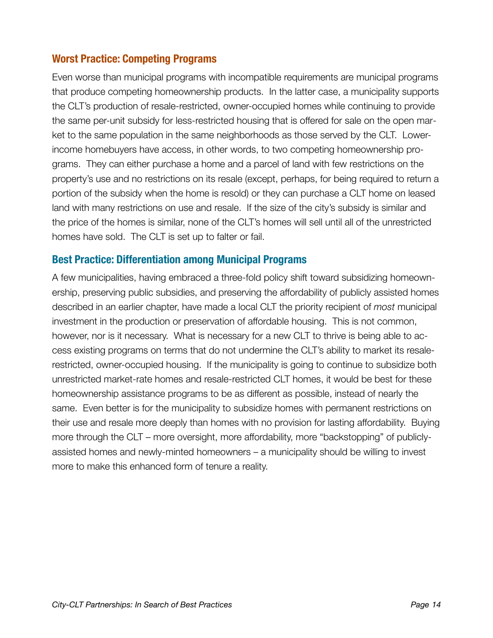#### **Worst Practice: Competing Programs**

Even worse than municipal programs with incompatible requirements are municipal programs that produce competing homeownership products. In the latter case, a municipality supports the CLT's production of resale-restricted, owner-occupied homes while continuing to provide the same per-unit subsidy for less-restricted housing that is offered for sale on the open market to the same population in the same neighborhoods as those served by the CLT. Lowerincome homebuyers have access, in other words, to two competing homeownership programs. They can either purchase a home and a parcel of land with few restrictions on the property's use and no restrictions on its resale (except, perhaps, for being required to return a portion of the subsidy when the home is resold) or they can purchase a CLT home on leased land with many restrictions on use and resale. If the size of the city's subsidy is similar and the price of the homes is similar, none of the CLT's homes will sell until all of the unrestricted homes have sold. The CLT is set up to falter or fail.

#### **Best Practice: Differentiation among Municipal Programs**

A few municipalities, having embraced a three-fold policy shift toward subsidizing homeownership, preserving public subsidies, and preserving the affordability of publicly assisted homes described in an earlier chapter, have made a local CLT the priority recipient of *most* municipal investment in the production or preservation of affordable housing. This is not common, however, nor is it necessary. What is necessary for a new CLT to thrive is being able to access existing programs on terms that do not undermine the CLT's ability to market its resalerestricted, owner-occupied housing. If the municipality is going to continue to subsidize both unrestricted market-rate homes and resale-restricted CLT homes, it would be best for these homeownership assistance programs to be as different as possible, instead of nearly the same. Even better is for the municipality to subsidize homes with permanent restrictions on their use and resale more deeply than homes with no provision for lasting affordability. Buying more through the CLT – more oversight, more affordability, more "backstopping" of publiclyassisted homes and newly-minted homeowners – a municipality should be willing to invest more to make this enhanced form of tenure a reality.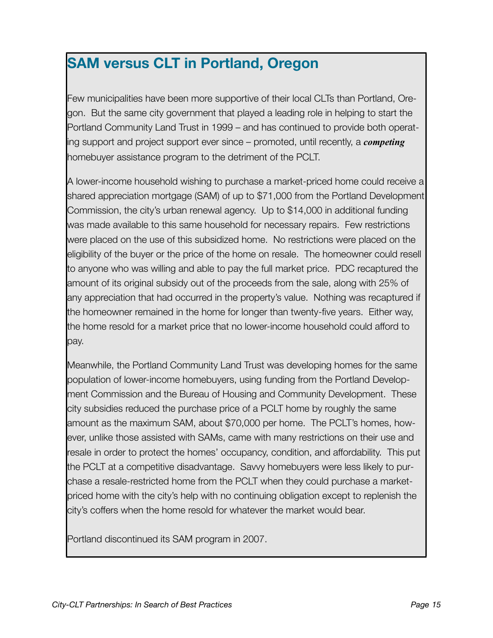## **SAM versus CLT in Portland, Oregon**

Few municipalities have been more supportive of their local CLTs than Portland, Oregon. But the same city government that played a leading role in helping to start the Portland Community Land Trust in 1999 – and has continued to provide both operating support and project support ever since – promoted, until recently, a *competing* homebuyer assistance program to the detriment of the PCLT.

A lower-income household wishing to purchase a market-priced home could receive a shared appreciation mortgage (SAM) of up to \$71,000 from the Portland Development Commission, the city's urban renewal agency. Up to \$14,000 in additional funding was made available to this same household for necessary repairs. Few restrictions were placed on the use of this subsidized home. No restrictions were placed on the eligibility of the buyer or the price of the home on resale. The homeowner could resell to anyone who was willing and able to pay the full market price. PDC recaptured the amount of its original subsidy out of the proceeds from the sale, along with 25% of any appreciation that had occurred in the property's value. Nothing was recaptured if the homeowner remained in the home for longer than twenty-five years. Either way, the home resold for a market price that no lower-income household could afford to pay.

Meanwhile, the Portland Community Land Trust was developing homes for the same population of lower-income homebuyers, using funding from the Portland Development Commission and the Bureau of Housing and Community Development. These city subsidies reduced the purchase price of a PCLT home by roughly the same amount as the maximum SAM, about \$70,000 per home. The PCLT's homes, however, unlike those assisted with SAMs, came with many restrictions on their use and resale in order to protect the homes' occupancy, condition, and affordability. This put the PCLT at a competitive disadvantage. Savvy homebuyers were less likely to purchase a resale-restricted home from the PCLT when they could purchase a marketpriced home with the city's help with no continuing obligation except to replenish the city's coffers when the home resold for whatever the market would bear.

Portland discontinued its SAM program in 2007.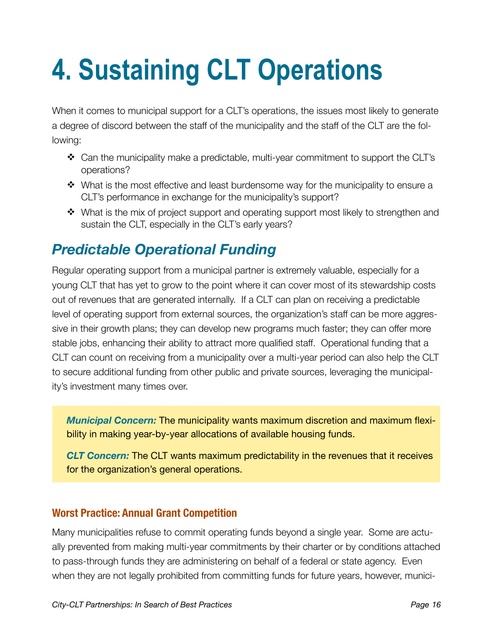# <span id="page-17-0"></span>**4. Sustaining CLT Operations**

When it comes to municipal support for a CLT's operations, the issues most likely to generate a degree of discord between the staff of the municipality and the staff of the CLT are the following:

- Can the municipality make a predictable, multi-year commitment to support the CLT's operations?
- $\div$  What is the most effective and least burdensome way for the municipality to ensure a CLT's performance in exchange for the municipality's support?
- What is the mix of project support and operating support most likely to strengthen and sustain the CLT, especially in the CLT's early years?

## <span id="page-17-1"></span>*Predictable Operational Funding*

Regular operating support from a municipal partner is extremely valuable, especially for a young CLT that has yet to grow to the point where it can cover most of its stewardship costs out of revenues that are generated internally. If a CLT can plan on receiving a predictable level of operating support from external sources, the organization's staff can be more aggressive in their growth plans; they can develop new programs much faster; they can offer more stable jobs, enhancing their ability to attract more qualified staff. Operational funding that a CLT can count on receiving from a municipality over a multi-year period can also help the CLT to secure additional funding from other public and private sources, leveraging the municipality's investment many times over.

*Municipal Concern:* The municipality wants maximum discretion and maximum flexibility in making year-by-year allocations of available housing funds.

*CLT Concern:* The CLT wants maximum predictability in the revenues that it receives for the organization's general operations.

#### **Worst Practice: Annual Grant Competition**

Many municipalities refuse to commit operating funds beyond a single year. Some are actually prevented from making multi-year commitments by their charter or by conditions attached to pass-through funds they are administering on behalf of a federal or state agency. Even when they are not legally prohibited from committing funds for future years, however, munici-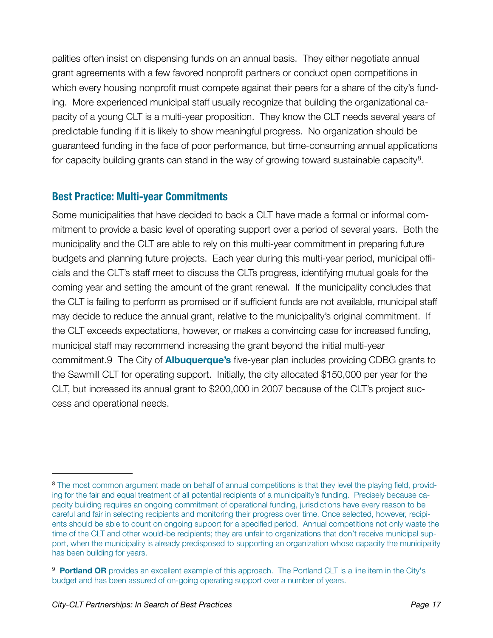palities often insist on dispensing funds on an annual basis. They either negotiate annual grant agreements with a few favored nonprofit partners or conduct open competitions in which every housing nonprofit must compete against their peers for a share of the city's funding. More experienced municipal staff usually recognize that building the organizational capacity of a young CLT is a multi-year proposition. They know the CLT needs several years of predictable funding if it is likely to show meaningful progress. No organization should be guaranteed funding in the face of poor performance, but time-consuming annual applications for capacity building grants can stand in the way of growing toward sustainable capacity<sup>8</sup>.

#### **Best Practice: Multi-year Commitments**

Some municipalities that have decided to back a CLT have made a formal or informal commitment to provide a basic level of operating support over a period of several years. Both the municipality and the CLT are able to rely on this multi-year commitment in preparing future budgets and planning future projects. Each year during this multi-year period, municipal officials and the CLT's staff meet to discuss the CLTs progress, identifying mutual goals for the coming year and setting the amount of the grant renewal. If the municipality concludes that the CLT is failing to perform as promised or if sufficient funds are not available, municipal staff may decide to reduce the annual grant, relative to the municipality's original commitment. If the CLT exceeds expectations, however, or makes a convincing case for increased funding, municipal staff may recommend increasing the grant beyond the initial multi-year commitment[.9](#page-18-1) The City of **Albuquerque's** five-year plan includes providing CDBG grants to the Sawmill CLT for operating support. Initially, the city allocated \$150,000 per year for the CLT, but increased its annual grant to \$200,000 in 2007 because of the CLT's project success and operational needs.

<span id="page-18-0"></span><sup>&</sup>lt;sup>8</sup> The most common argument made on behalf of annual competitions is that they level the playing field, providing for the fair and equal treatment of all potential recipients of a municipality's funding. Precisely because capacity building requires an ongoing commitment of operational funding, jurisdictions have every reason to be careful and fair in selecting recipients and monitoring their progress over time. Once selected, however, recipients should be able to count on ongoing support for a specified period. Annual competitions not only waste the time of the CLT and other would-be recipients; they are unfair to organizations that don't receive municipal support, when the municipality is already predisposed to supporting an organization whose capacity the municipality has been building for years.

<span id="page-18-1"></span><sup>&</sup>lt;sup>9</sup> **Portland OR** provides an excellent example of this approach. The Portland CLT is a line item in the City's budget and has been assured of on-going operating support over a number of years.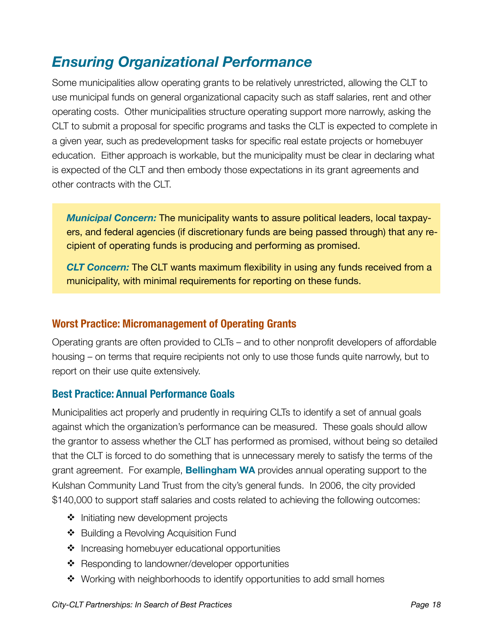## <span id="page-19-0"></span>*Ensuring Organizational Performance*

Some municipalities allow operating grants to be relatively unrestricted, allowing the CLT to use municipal funds on general organizational capacity such as staff salaries, rent and other operating costs. Other municipalities structure operating support more narrowly, asking the CLT to submit a proposal for specific programs and tasks the CLT is expected to complete in a given year, such as predevelopment tasks for specific real estate projects or homebuyer education. Either approach is workable, but the municipality must be clear in declaring what is expected of the CLT and then embody those expectations in its grant agreements and other contracts with the CLT.

*Municipal Concern:* The municipality wants to assure political leaders, local taxpayers, and federal agencies (if discretionary funds are being passed through) that any recipient of operating funds is producing and performing as promised.

*CLT Concern:* The CLT wants maximum flexibility in using any funds received from a municipality, with minimal requirements for reporting on these funds.

#### **Worst Practice: Micromanagement of Operating Grants**

Operating grants are often provided to CLTs – and to other nonprofit developers of affordable housing – on terms that require recipients not only to use those funds quite narrowly, but to report on their use quite extensively.

#### **Best Practice: Annual Performance Goals**

Municipalities act properly and prudently in requiring CLTs to identify a set of annual goals against which the organization's performance can be measured. These goals should allow the grantor to assess whether the CLT has performed as promised, without being so detailed that the CLT is forced to do something that is unnecessary merely to satisfy the terms of the grant agreement. For example, **Bellingham WA** provides annual operating support to the Kulshan Community Land Trust from the city's general funds. In 2006, the city provided \$140,000 to support staff salaries and costs related to achieving the following outcomes:

- ❖ Initiating new development projects
- ❖ Building a Revolving Acquisition Fund
- $\triangleq$  Increasing homebuyer educational opportunities
- ❖ Responding to landowner/developer opportunities
- Working with neighborhoods to identify opportunities to add small homes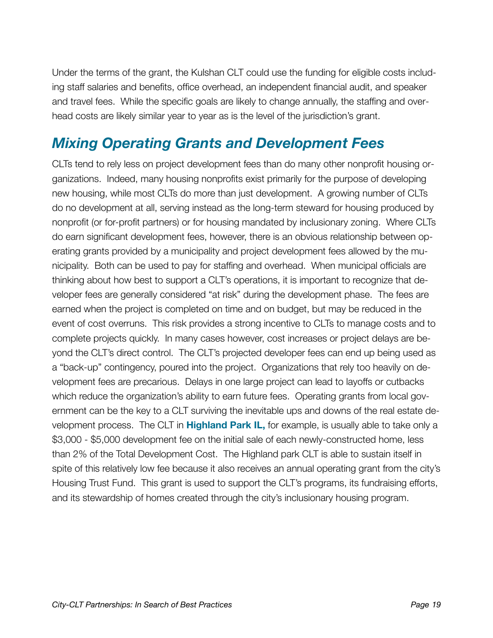Under the terms of the grant, the Kulshan CLT could use the funding for eligible costs including staff salaries and benefits, office overhead, an independent financial audit, and speaker and travel fees. While the specific goals are likely to change annually, the staffing and overhead costs are likely similar year to year as is the level of the jurisdiction's grant.

### <span id="page-20-0"></span>*Mixing Operating Grants and Development Fees*

CLTs tend to rely less on project development fees than do many other nonprofit housing organizations. Indeed, many housing nonprofits exist primarily for the purpose of developing new housing, while most CLTs do more than just development. A growing number of CLTs do no development at all, serving instead as the long-term steward for housing produced by nonprofit (or for-profit partners) or for housing mandated by inclusionary zoning. Where CLTs do earn significant development fees, however, there is an obvious relationship between operating grants provided by a municipality and project development fees allowed by the municipality. Both can be used to pay for staffing and overhead. When municipal officials are thinking about how best to support a CLT's operations, it is important to recognize that developer fees are generally considered "at risk" during the development phase. The fees are earned when the project is completed on time and on budget, but may be reduced in the event of cost overruns. This risk provides a strong incentive to CLTs to manage costs and to complete projects quickly. In many cases however, cost increases or project delays are beyond the CLT's direct control. The CLT's projected developer fees can end up being used as a "back-up" contingency, poured into the project. Organizations that rely too heavily on development fees are precarious. Delays in one large project can lead to layoffs or cutbacks which reduce the organization's ability to earn future fees. Operating grants from local government can be the key to a CLT surviving the inevitable ups and downs of the real estate development process. The CLT in **Highland Park IL,** for example, is usually able to take only a \$3,000 - \$5,000 development fee on the initial sale of each newly-constructed home, less than 2% of the Total Development Cost. The Highland park CLT is able to sustain itself in spite of this relatively low fee because it also receives an annual operating grant from the city's Housing Trust Fund. This grant is used to support the CLT's programs, its fundraising efforts, and its stewardship of homes created through the city's inclusionary housing program.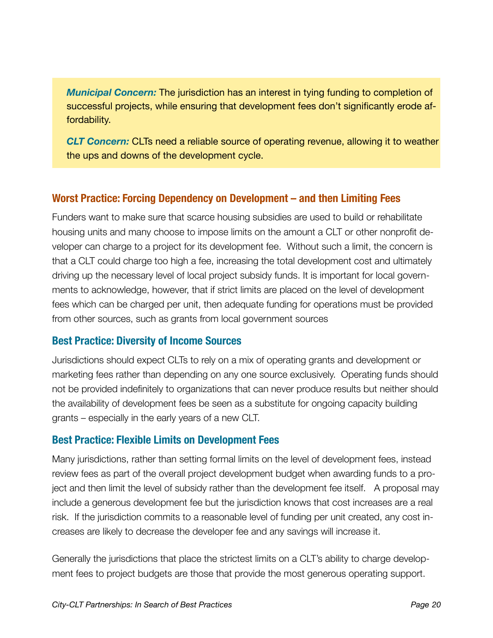*Municipal Concern:* The jurisdiction has an interest in tying funding to completion of successful projects, while ensuring that development fees don't significantly erode affordability.

*CLT Concern:* CLTs need a reliable source of operating revenue, allowing it to weather the ups and downs of the development cycle.

#### **Worst Practice: Forcing Dependency on Development – and then Limiting Fees**

Funders want to make sure that scarce housing subsidies are used to build or rehabilitate housing units and many choose to impose limits on the amount a CLT or other nonprofit developer can charge to a project for its development fee. Without such a limit, the concern is that a CLT could charge too high a fee, increasing the total development cost and ultimately driving up the necessary level of local project subsidy funds. It is important for local governments to acknowledge, however, that if strict limits are placed on the level of development fees which can be charged per unit, then adequate funding for operations must be provided from other sources, such as grants from local government sources

#### **Best Practice: Diversity of Income Sources**

Jurisdictions should expect CLTs to rely on a mix of operating grants and development or marketing fees rather than depending on any one source exclusively. Operating funds should not be provided indefinitely to organizations that can never produce results but neither should the availability of development fees be seen as a substitute for ongoing capacity building grants – especially in the early years of a new CLT.

#### **Best Practice: Flexible Limits on Development Fees**

Many jurisdictions, rather than setting formal limits on the level of development fees, instead review fees as part of the overall project development budget when awarding funds to a project and then limit the level of subsidy rather than the development fee itself. A proposal may include a generous development fee but the jurisdiction knows that cost increases are a real risk. If the jurisdiction commits to a reasonable level of funding per unit created, any cost increases are likely to decrease the developer fee and any savings will increase it.

Generally the jurisdictions that place the strictest limits on a CLT's ability to charge development fees to project budgets are those that provide the most generous operating support.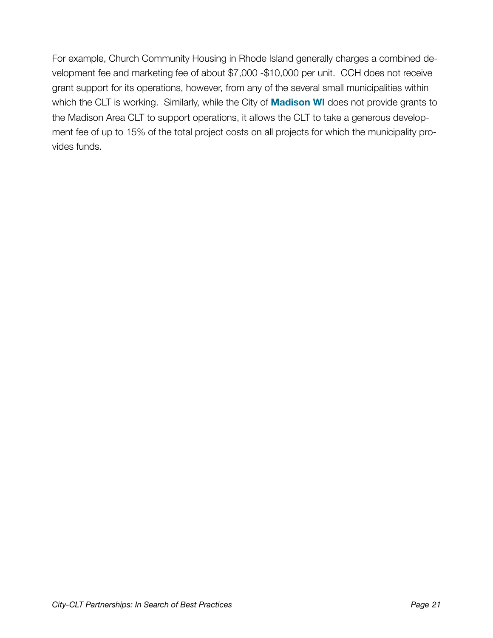For example, Church Community Housing in Rhode Island generally charges a combined development fee and marketing fee of about \$7,000 -\$10,000 per unit. CCH does not receive grant support for its operations, however, from any of the several small municipalities within which the CLT is working. Similarly, while the City of **Madison WI** does not provide grants to the Madison Area CLT to support operations, it allows the CLT to take a generous development fee of up to 15% of the total project costs on all projects for which the municipality provides funds.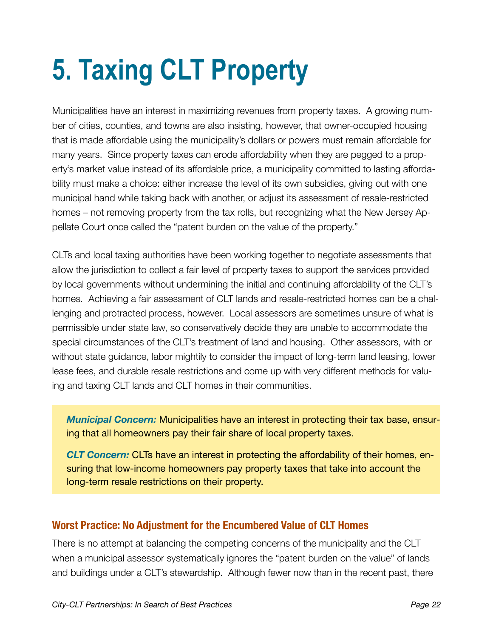## <span id="page-23-0"></span>**5. Taxing CLT Property**

Municipalities have an interest in maximizing revenues from property taxes. A growing number of cities, counties, and towns are also insisting, however, that owner-occupied housing that is made affordable using the municipality's dollars or powers must remain affordable for many years. Since property taxes can erode affordability when they are pegged to a property's market value instead of its affordable price, a municipality committed to lasting affordability must make a choice: either increase the level of its own subsidies, giving out with one municipal hand while taking back with another, or adjust its assessment of resale-restricted homes – not removing property from the tax rolls, but recognizing what the New Jersey Appellate Court once called the "patent burden on the value of the property."

CLTs and local taxing authorities have been working together to negotiate assessments that allow the jurisdiction to collect a fair level of property taxes to support the services provided by local governments without undermining the initial and continuing affordability of the CLT's homes. Achieving a fair assessment of CLT lands and resale-restricted homes can be a challenging and protracted process, however. Local assessors are sometimes unsure of what is permissible under state law, so conservatively decide they are unable to accommodate the special circumstances of the CLT's treatment of land and housing. Other assessors, with or without state guidance, labor mightily to consider the impact of long-term land leasing, lower lease fees, and durable resale restrictions and come up with very different methods for valuing and taxing CLT lands and CLT homes in their communities.

*Municipal Concern:* Municipalities have an interest in protecting their tax base, ensuring that all homeowners pay their fair share of local property taxes.

*CLT Concern:* CLTs have an interest in protecting the affordability of their homes, ensuring that low-income homeowners pay property taxes that take into account the long-term resale restrictions on their property.

#### **Worst Practice: No Adjustment for the Encumbered Value of CLT Homes**

There is no attempt at balancing the competing concerns of the municipality and the CLT when a municipal assessor systematically ignores the "patent burden on the value" of lands and buildings under a CLT's stewardship. Although fewer now than in the recent past, there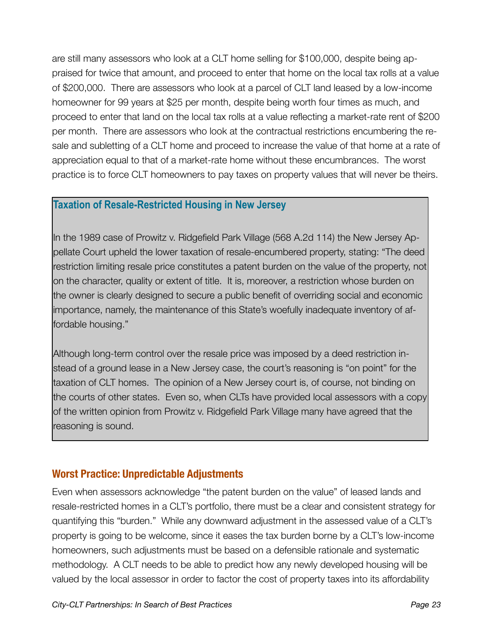are still many assessors who look at a CLT home selling for \$100,000, despite being appraised for twice that amount, and proceed to enter that home on the local tax rolls at a value of \$200,000. There are assessors who look at a parcel of CLT land leased by a low-income homeowner for 99 years at \$25 per month, despite being worth four times as much, and proceed to enter that land on the local tax rolls at a value reflecting a market-rate rent of \$200 per month. There are assessors who look at the contractual restrictions encumbering the resale and subletting of a CLT home and proceed to increase the value of that home at a rate of appreciation equal to that of a market-rate home without these encumbrances. The worst practice is to force CLT homeowners to pay taxes on property values that will never be theirs.

#### **Taxation of Resale-Restricted Housing in New Jersey**

In the 1989 case of Prowitz v. Ridgefield Park Village (568 A.2d 114) the New Jersey Appellate Court upheld the lower taxation of resale-encumbered property, stating: "The deed restriction limiting resale price constitutes a patent burden on the value of the property, not on the character, quality or extent of title. It is, moreover, a restriction whose burden on the owner is clearly designed to secure a public benefit of overriding social and economic importance, namely, the maintenance of this State's woefully inadequate inventory of affordable housing."

Although long-term control over the resale price was imposed by a deed restriction instead of a ground lease in a New Jersey case, the court's reasoning is "on point" for the taxation of CLT homes. The opinion of a New Jersey court is, of course, not binding on the courts of other states. Even so, when CLTs have provided local assessors with a copy of the written opinion from Prowitz v. Ridgefield Park Village many have agreed that the reasoning is sound.

#### **Worst Practice: Unpredictable Adjustments**

Even when assessors acknowledge "the patent burden on the value" of leased lands and resale-restricted homes in a CLT's portfolio, there must be a clear and consistent strategy for quantifying this "burden." While any downward adjustment in the assessed value of a CLT's property is going to be welcome, since it eases the tax burden borne by a CLT's low-income homeowners, such adjustments must be based on a defensible rationale and systematic methodology. A CLT needs to be able to predict how any newly developed housing will be valued by the local assessor in order to factor the cost of property taxes into its affordability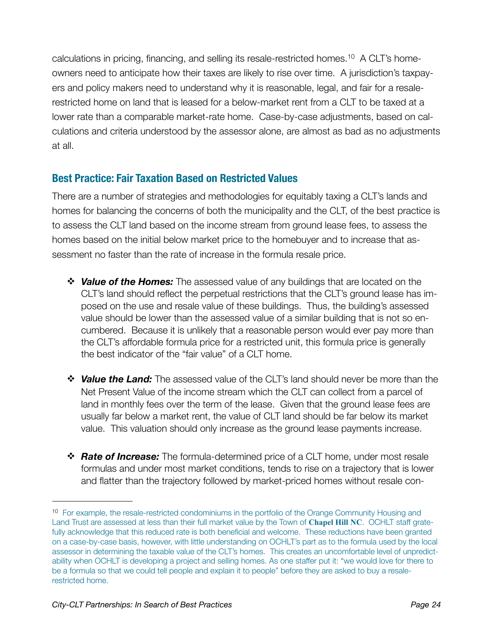calculations in pricing, financing, and selling its resale-restricted homes.[10](#page-25-0) A CLT's homeowners need to anticipate how their taxes are likely to rise over time. A jurisdiction's taxpayers and policy makers need to understand why it is reasonable, legal, and fair for a resalerestricted home on land that is leased for a below-market rent from a CLT to be taxed at a lower rate than a comparable market-rate home. Case-by-case adjustments, based on calculations and criteria understood by the assessor alone, are almost as bad as no adjustments at all.

#### **Best Practice: Fair Taxation Based on Restricted Values**

There are a number of strategies and methodologies for equitably taxing a CLT's lands and homes for balancing the concerns of both the municipality and the CLT, of the best practice is to assess the CLT land based on the income stream from ground lease fees, to assess the homes based on the initial below market price to the homebuyer and to increase that assessment no faster than the rate of increase in the formula resale price.

- *Value of the Homes:* The assessed value of any buildings that are located on the CLT's land should reflect the perpetual restrictions that the CLT's ground lease has imposed on the use and resale value of these buildings. Thus, the building's assessed value should be lower than the assessed value of a similar building that is not so encumbered. Because it is unlikely that a reasonable person would ever pay more than the CLT's affordable formula price for a restricted unit, this formula price is generally the best indicator of the "fair value" of a CLT home.
- *Value the Land:* The assessed value of the CLT's land should never be more than the Net Present Value of the income stream which the CLT can collect from a parcel of land in monthly fees over the term of the lease. Given that the ground lease fees are usually far below a market rent, the value of CLT land should be far below its market value. This valuation should only increase as the ground lease payments increase.
- *Rate of Increase:* The formula-determined price of a CLT home, under most resale formulas and under most market conditions, tends to rise on a trajectory that is lower and flatter than the trajectory followed by market-priced homes without resale con-

<span id="page-25-0"></span><sup>&</sup>lt;sup>10</sup> For example, the resale-restricted condominiums in the portfolio of the Orange Community Housing and Land Trust are assessed at less than their full market value by the Town of **Chapel Hill NC**. OCHLT staff gratefully acknowledge that this reduced rate is both beneficial and welcome. These reductions have been granted on a case-by-case basis, however, with little understanding on OCHLT's part as to the formula used by the local assessor in determining the taxable value of the CLT's homes. This creates an uncomfortable level of unpredictability when OCHLT is developing a project and selling homes. As one staffer put it: "we would love for there to be a formula so that we could tell people and explain it to people" before they are asked to buy a resalerestricted home.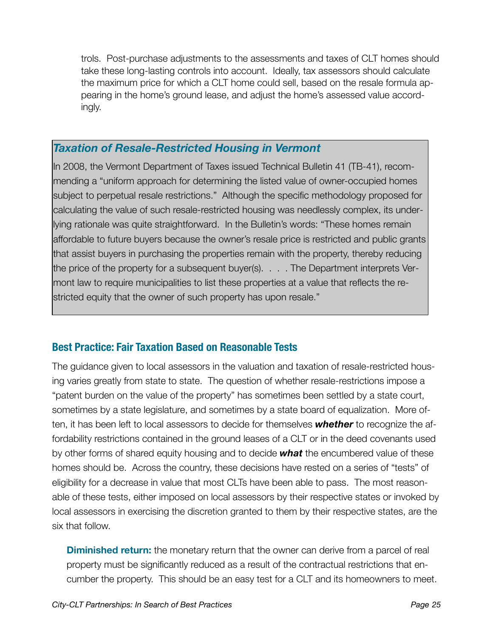trols. Post-purchase adjustments to the assessments and taxes of CLT homes should take these long-lasting controls into account. Ideally, tax assessors should calculate the maximum price for which a CLT home could sell, based on the resale formula appearing in the home's ground lease, and adjust the home's assessed value accordingly.

#### *Taxation of Resale-Restricted Housing in Vermont*

In 2008, the Vermont Department of Taxes issued Technical Bulletin 41 (TB-41), recommending a "uniform approach for determining the listed value of owner-occupied homes subject to perpetual resale restrictions." Although the specific methodology proposed for calculating the value of such resale-restricted housing was needlessly complex, its underlying rationale was quite straightforward. In the Bulletin's words: "These homes remain affordable to future buyers because the owner's resale price is restricted and public grants that assist buyers in purchasing the properties remain with the property, thereby reducing the price of the property for a subsequent buyer(s). . . . The Department interprets Vermont law to require municipalities to list these properties at a value that reflects the restricted equity that the owner of such property has upon resale."

#### **Best Practice: Fair Taxation Based on Reasonable Tests**

The guidance given to local assessors in the valuation and taxation of resale-restricted housing varies greatly from state to state. The question of whether resale-restrictions impose a "patent burden on the value of the property" has sometimes been settled by a state court, sometimes by a state legislature, and sometimes by a state board of equalization. More often, it has been left to local assessors to decide for themselves *whether* to recognize the affordability restrictions contained in the ground leases of a CLT or in the deed covenants used by other forms of shared equity housing and to decide *what* the encumbered value of these homes should be. Across the country, these decisions have rested on a series of "tests" of eligibility for a decrease in value that most CLTs have been able to pass. The most reasonable of these tests, either imposed on local assessors by their respective states or invoked by local assessors in exercising the discretion granted to them by their respective states, are the six that follow.

**Diminished return:** the monetary return that the owner can derive from a parcel of real property must be significantly reduced as a result of the contractual restrictions that encumber the property. This should be an easy test for a CLT and its homeowners to meet.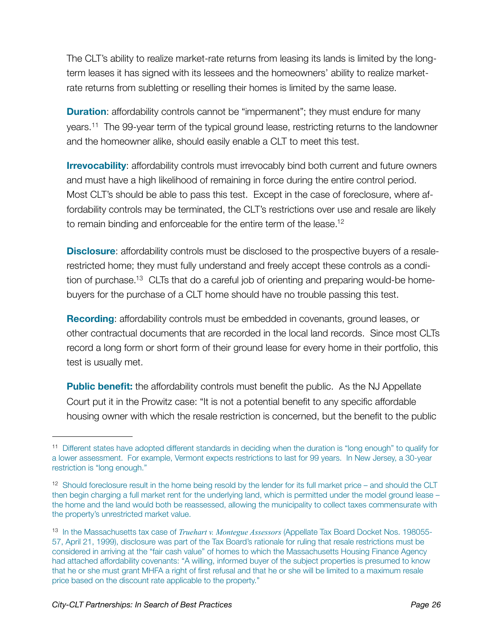The CLT's ability to realize market-rate returns from leasing its lands is limited by the longterm leases it has signed with its lessees and the homeowners' ability to realize marketrate returns from subletting or reselling their homes is limited by the same lease.

**Duration:** affordability controls cannot be "impermanent"; they must endure for many years.[11](#page-27-0) The 99-year term of the typical ground lease, restricting returns to the landowner and the homeowner alike, should easily enable a CLT to meet this test.

**Irrevocability:** affordability controls must irrevocably bind both current and future owners and must have a high likelihood of remaining in force during the entire control period. Most CLT's should be able to pass this test. Except in the case of foreclosure, where affordability controls may be terminated, the CLT's restrictions over use and resale are likely to remain binding and enforceable for the entire term of the lease.<sup>12</sup>

**Disclosure:** affordability controls must be disclosed to the prospective buyers of a resalerestricted home; they must fully understand and freely accept these controls as a condition of purchase.<sup>13</sup> CLTs that do a careful job of orienting and preparing would-be homebuyers for the purchase of a CLT home should have no trouble passing this test.

**Recording**: affordability controls must be embedded in covenants, ground leases, or other contractual documents that are recorded in the local land records. Since most CLTs record a long form or short form of their ground lease for every home in their portfolio, this test is usually met.

**Public benefit:** the affordability controls must benefit the public. As the NJ Appellate Court put it in the Prowitz case: "It is not a potential benefit to any specific affordable housing owner with which the resale restriction is concerned, but the benefit to the public

<span id="page-27-0"></span><sup>11</sup> Different states have adopted different standards in deciding when the duration is "long enough" to qualify for a lower assessment. For example, Vermont expects restrictions to last for 99 years. In New Jersey, a 30-year restriction is "long enough."

<span id="page-27-1"></span><sup>12</sup> Should foreclosure result in the home being resold by the lender for its full market price – and should the CLT then begin charging a full market rent for the underlying land, which is permitted under the model ground lease – the home and the land would both be reassessed, allowing the municipality to collect taxes commensurate with the property's unrestricted market value.

<span id="page-27-2"></span><sup>13</sup> In the Massachusetts tax case of *Truehart v. Montegue Assessors* (Appellate Tax Board Docket Nos. 198055- 57, April 21, 1999), disclosure was part of the Tax Board's rationale for ruling that resale restrictions must be considered in arriving at the "fair cash value" of homes to which the Massachusetts Housing Finance Agency had attached affordability covenants: "A willing, informed buyer of the subject properties is presumed to know that he or she must grant MHFA a right of first refusal and that he or she will be limited to a maximum resale price based on the discount rate applicable to the property."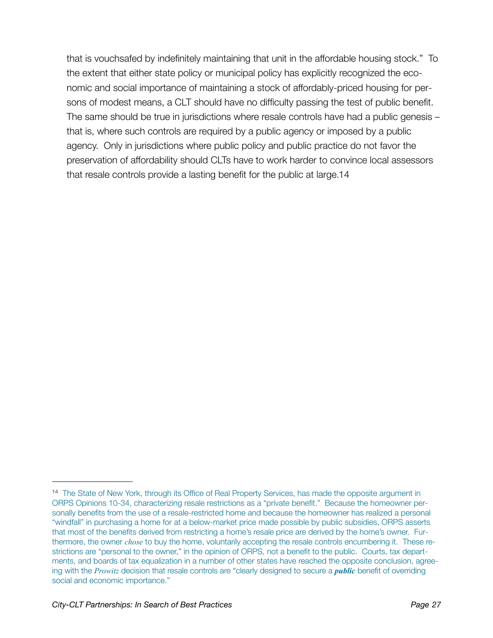that is vouchsafed by indefinitely maintaining that unit in the affordable housing stock." To the extent that either state policy or municipal policy has explicitly recognized the economic and social importance of maintaining a stock of affordably-priced housing for persons of modest means, a CLT should have no difficulty passing the test of public benefit. The same should be true in jurisdictions where resale controls have had a public genesis – that is, where such controls are required by a public agency or imposed by a public agency. Only in jurisdictions where public policy and public practice do not favor the preservation of affordability should CLTs have to work harder to convince local assessors that resale controls provide a lasting benefit for the public at large[.14](#page-28-0) 

<span id="page-28-0"></span><sup>&</sup>lt;sup>14</sup> The State of New York, through its Office of Real Property Services, has made the opposite argument in ORPS Opinions 10-34, characterizing resale restrictions as a "private benefit." Because the homeowner personally benefits from the use of a resale-restricted home and because the homeowner has realized a personal "windfall" in purchasing a home for at a below-market price made possible by public subsidies, ORPS asserts that most of the benefits derived from restricting a home's resale price are derived by the home's owner. Furthermore, the owner *chose* to buy the home, voluntarily accepting the resale controls encumbering it. These restrictions are "personal to the owner," in the opinion of ORPS, not a benefit to the public. Courts, tax departments, and boards of tax equalization in a number of other states have reached the opposite conclusion, agreeing with the *Prowitz* decision that resale controls are "clearly designed to secure a *public* benefit of overriding social and economic importance."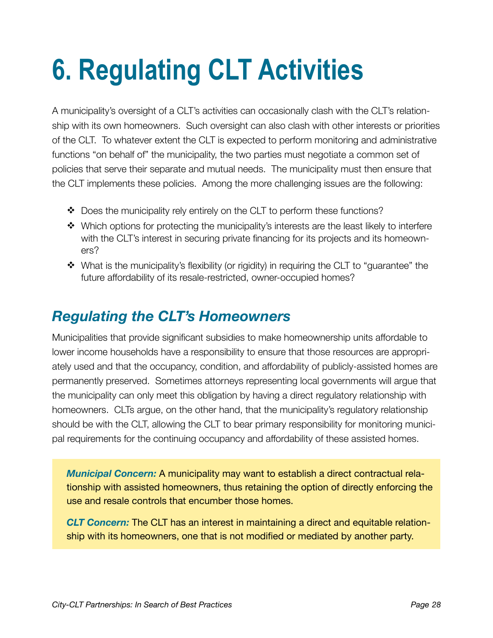## <span id="page-29-0"></span>**6. Regulating CLT Activities**

A municipality's oversight of a CLT's activities can occasionally clash with the CLT's relationship with its own homeowners. Such oversight can also clash with other interests or priorities of the CLT. To whatever extent the CLT is expected to perform monitoring and administrative functions "on behalf of" the municipality, the two parties must negotiate a common set of policies that serve their separate and mutual needs. The municipality must then ensure that the CLT implements these policies. Among the more challenging issues are the following:

- ◆ Does the municipality rely entirely on the CLT to perform these functions?
- Which options for protecting the municipality's interests are the least likely to interfere with the CLT's interest in securing private financing for its projects and its homeowners?
- \* What is the municipality's flexibility (or rigidity) in requiring the CLT to "quarantee" the future affordability of its resale-restricted, owner-occupied homes?

### <span id="page-29-1"></span>*Regulating the CLT's Homeowners*

Municipalities that provide significant subsidies to make homeownership units affordable to lower income households have a responsibility to ensure that those resources are appropriately used and that the occupancy, condition, and affordability of publicly-assisted homes are permanently preserved. Sometimes attorneys representing local governments will argue that the municipality can only meet this obligation by having a direct regulatory relationship with homeowners. CLTs argue, on the other hand, that the municipality's regulatory relationship should be with the CLT, allowing the CLT to bear primary responsibility for monitoring municipal requirements for the continuing occupancy and affordability of these assisted homes.

*Municipal Concern:* A municipality may want to establish a direct contractual relationship with assisted homeowners, thus retaining the option of directly enforcing the use and resale controls that encumber those homes.

*CLT Concern:* The CLT has an interest in maintaining a direct and equitable relationship with its homeowners, one that is not modified or mediated by another party.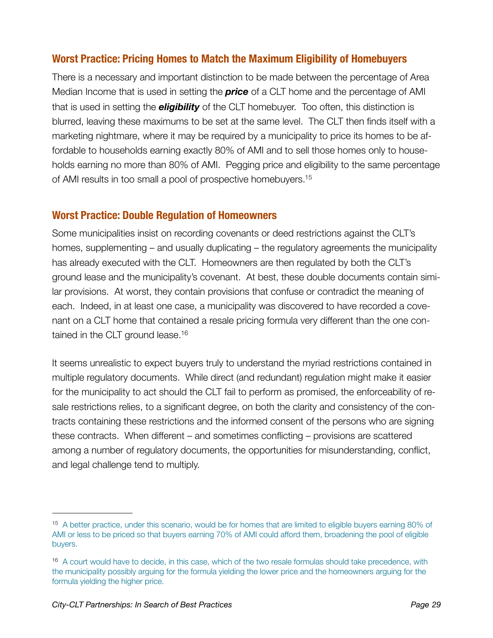#### **Worst Practice: Pricing Homes to Match the Maximum Eligibility of Homebuyers**

There is a necessary and important distinction to be made between the percentage of Area Median Income that is used in setting the *price* of a CLT home and the percentage of AMI that is used in setting the *eligibility* of the CLT homebuyer. Too often, this distinction is blurred, leaving these maximums to be set at the same level. The CLT then finds itself with a marketing nightmare, where it may be required by a municipality to price its homes to be affordable to households earning exactly 80% of AMI and to sell those homes only to households earning no more than 80% of AMI. Pegging price and eligibility to the same percentage of AMI results in too small a pool of prospective homebuyers[.15](#page-30-0)

#### **Worst Practice: Double Regulation of Homeowners**

Some municipalities insist on recording covenants or deed restrictions against the CLT's homes, supplementing – and usually duplicating – the regulatory agreements the municipality has already executed with the CLT. Homeowners are then regulated by both the CLT's ground lease and the municipality's covenant. At best, these double documents contain similar provisions. At worst, they contain provisions that confuse or contradict the meaning of each. Indeed, in at least one case, a municipality was discovered to have recorded a covenant on a CLT home that contained a resale pricing formula very different than the one contained in the CLT ground lease.<sup>16</sup>

It seems unrealistic to expect buyers truly to understand the myriad restrictions contained in multiple regulatory documents. While direct (and redundant) regulation might make it easier for the municipality to act should the CLT fail to perform as promised, the enforceability of resale restrictions relies, to a significant degree, on both the clarity and consistency of the contracts containing these restrictions and the informed consent of the persons who are signing these contracts. When different – and sometimes conflicting – provisions are scattered among a number of regulatory documents, the opportunities for misunderstanding, conflict, and legal challenge tend to multiply.

<span id="page-30-0"></span><sup>15</sup> A better practice, under this scenario, would be for homes that are limited to eligible buyers earning 80% of AMI or less to be priced so that buyers earning 70% of AMI could afford them, broadening the pool of eligible buyers.

<span id="page-30-1"></span><sup>&</sup>lt;sup>16</sup> A court would have to decide, in this case, which of the two resale formulas should take precedence, with the municipality possibly arguing for the formula yielding the lower price and the homeowners arguing for the formula yielding the higher price.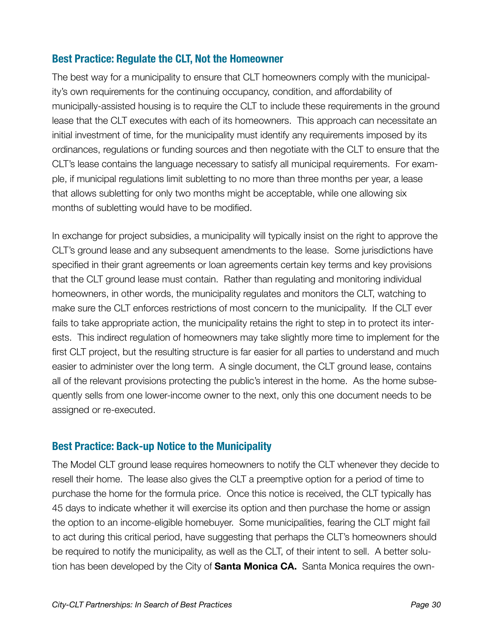#### **Best Practice: Regulate the CLT, Not the Homeowner**

The best way for a municipality to ensure that CLT homeowners comply with the municipality's own requirements for the continuing occupancy, condition, and affordability of municipally-assisted housing is to require the CLT to include these requirements in the ground lease that the CLT executes with each of its homeowners. This approach can necessitate an initial investment of time, for the municipality must identify any requirements imposed by its ordinances, regulations or funding sources and then negotiate with the CLT to ensure that the CLT's lease contains the language necessary to satisfy all municipal requirements. For example, if municipal regulations limit subletting to no more than three months per year, a lease that allows subletting for only two months might be acceptable, while one allowing six months of subletting would have to be modified.

In exchange for project subsidies, a municipality will typically insist on the right to approve the CLT's ground lease and any subsequent amendments to the lease. Some jurisdictions have specified in their grant agreements or loan agreements certain key terms and key provisions that the CLT ground lease must contain. Rather than regulating and monitoring individual homeowners, in other words, the municipality regulates and monitors the CLT, watching to make sure the CLT enforces restrictions of most concern to the municipality. If the CLT ever fails to take appropriate action, the municipality retains the right to step in to protect its interests. This indirect regulation of homeowners may take slightly more time to implement for the first CLT project, but the resulting structure is far easier for all parties to understand and much easier to administer over the long term. A single document, the CLT ground lease, contains all of the relevant provisions protecting the public's interest in the home. As the home subsequently sells from one lower-income owner to the next, only this one document needs to be assigned or re-executed.

#### **Best Practice: Back-up Notice to the Municipality**

The Model CLT ground lease requires homeowners to notify the CLT whenever they decide to resell their home. The lease also gives the CLT a preemptive option for a period of time to purchase the home for the formula price. Once this notice is received, the CLT typically has 45 days to indicate whether it will exercise its option and then purchase the home or assign the option to an income-eligible homebuyer. Some municipalities, fearing the CLT might fail to act during this critical period, have suggesting that perhaps the CLT's homeowners should be required to notify the municipality, as well as the CLT, of their intent to sell. A better solution has been developed by the City of **Santa Monica CA.** Santa Monica requires the own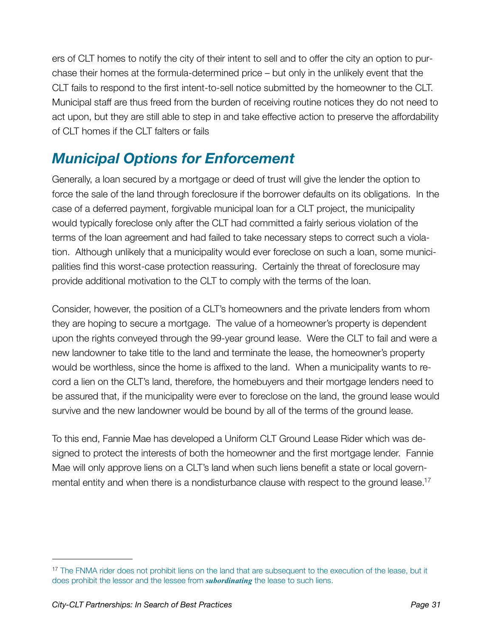ers of CLT homes to notify the city of their intent to sell and to offer the city an option to purchase their homes at the formula-determined price – but only in the unlikely event that the CLT fails to respond to the first intent-to-sell notice submitted by the homeowner to the CLT. Municipal staff are thus freed from the burden of receiving routine notices they do not need to act upon, but they are still able to step in and take effective action to preserve the affordability of CLT homes if the CLT falters or fails

### <span id="page-32-0"></span>*Municipal Options for Enforcement*

Generally, a loan secured by a mortgage or deed of trust will give the lender the option to force the sale of the land through foreclosure if the borrower defaults on its obligations. In the case of a deferred payment, forgivable municipal loan for a CLT project, the municipality would typically foreclose only after the CLT had committed a fairly serious violation of the terms of the loan agreement and had failed to take necessary steps to correct such a violation. Although unlikely that a municipality would ever foreclose on such a loan, some municipalities find this worst-case protection reassuring. Certainly the threat of foreclosure may provide additional motivation to the CLT to comply with the terms of the loan.

Consider, however, the position of a CLT's homeowners and the private lenders from whom they are hoping to secure a mortgage. The value of a homeowner's property is dependent upon the rights conveyed through the 99-year ground lease. Were the CLT to fail and were a new landowner to take title to the land and terminate the lease, the homeowner's property would be worthless, since the home is affixed to the land. When a municipality wants to record a lien on the CLT's land, therefore, the homebuyers and their mortgage lenders need to be assured that, if the municipality were ever to foreclose on the land, the ground lease would survive and the new landowner would be bound by all of the terms of the ground lease.

To this end, Fannie Mae has developed a Uniform CLT Ground Lease Rider which was designed to protect the interests of both the homeowner and the first mortgage lender. Fannie Mae will only approve liens on a CLT's land when such liens benefit a state or local governmental entity and when there is a nondisturbance clause with respect to the ground lease.<sup>17</sup>

<span id="page-32-1"></span><sup>&</sup>lt;sup>17</sup> The FNMA rider does not prohibit liens on the land that are subsequent to the execution of the lease, but it does prohibit the lessor and the lessee from *subordinating* the lease to such liens.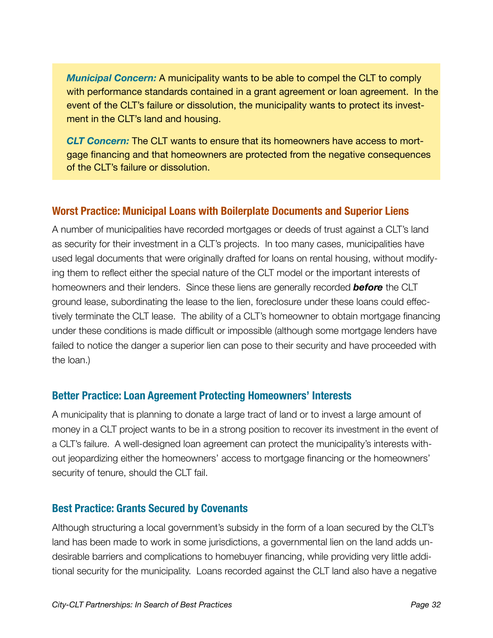*Municipal Concern:* A municipality wants to be able to compel the CLT to comply with performance standards contained in a grant agreement or loan agreement. In the event of the CLT's failure or dissolution, the municipality wants to protect its investment in the CLT's land and housing.

*CLT Concern:* The CLT wants to ensure that its homeowners have access to mortgage financing and that homeowners are protected from the negative consequences of the CLT's failure or dissolution.

#### **Worst Practice: Municipal Loans with Boilerplate Documents and Superior Liens**

A number of municipalities have recorded mortgages or deeds of trust against a CLT's land as security for their investment in a CLT's projects. In too many cases, municipalities have used legal documents that were originally drafted for loans on rental housing, without modifying them to reflect either the special nature of the CLT model or the important interests of homeowners and their lenders. Since these liens are generally recorded *before* the CLT ground lease, subordinating the lease to the lien, foreclosure under these loans could effectively terminate the CLT lease. The ability of a CLT's homeowner to obtain mortgage financing under these conditions is made difficult or impossible (although some mortgage lenders have failed to notice the danger a superior lien can pose to their security and have proceeded with the loan.)

#### **Better Practice: Loan Agreement Protecting Homeowners' Interests**

A municipality that is planning to donate a large tract of land or to invest a large amount of money in a CLT project wants to be in a strong position to recover its investment in the event of a CLT's failure. A well-designed loan agreement can protect the municipality's interests without jeopardizing either the homeowners' access to mortgage financing or the homeowners' security of tenure, should the CLT fail.

#### **Best Practice: Grants Secured by Covenants**

Although structuring a local government's subsidy in the form of a loan secured by the CLT's land has been made to work in some jurisdictions, a governmental lien on the land adds undesirable barriers and complications to homebuyer financing, while providing very little additional security for the municipality. Loans recorded against the CLT land also have a negative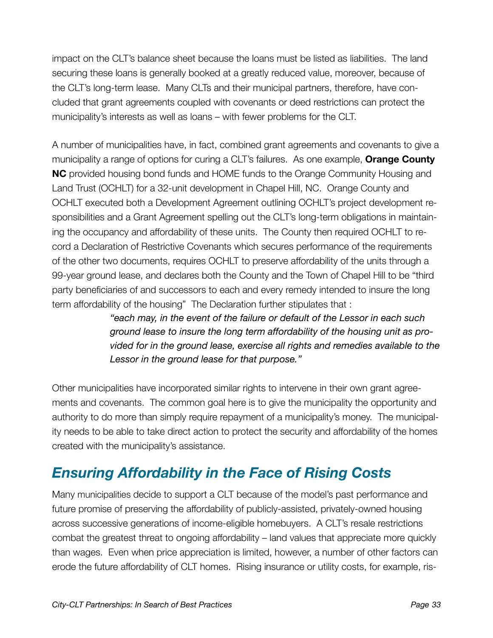impact on the CLT's balance sheet because the loans must be listed as liabilities. The land securing these loans is generally booked at a greatly reduced value, moreover, because of the CLT's long-term lease. Many CLTs and their municipal partners, therefore, have concluded that grant agreements coupled with covenants or deed restrictions can protect the municipality's interests as well as loans – with fewer problems for the CLT.

A number of municipalities have, in fact, combined grant agreements and covenants to give a municipality a range of options for curing a CLT's failures. As one example, **Orange County NC** provided housing bond funds and HOME funds to the Orange Community Housing and Land Trust (OCHLT) for a 32-unit development in Chapel Hill, NC. Orange County and OCHLT executed both a Development Agreement outlining OCHLT's project development responsibilities and a Grant Agreement spelling out the CLT's long-term obligations in maintaining the occupancy and affordability of these units. The County then required OCHLT to record a Declaration of Restrictive Covenants which secures performance of the requirements of the other two documents, requires OCHLT to preserve affordability of the units through a 99-year ground lease, and declares both the County and the Town of Chapel Hill to be "third party beneficiaries of and successors to each and every remedy intended to insure the long term affordability of the housing" The Declaration further stipulates that :

> *"each may, in the event of the failure or default of the Lessor in each such ground lease to insure the long term affordability of the housing unit as provided for in the ground lease, exercise all rights and remedies available to the Lessor in the ground lease for that purpose."*

Other municipalities have incorporated similar rights to intervene in their own grant agreements and covenants. The common goal here is to give the municipality the opportunity and authority to do more than simply require repayment of a municipality's money. The municipality needs to be able to take direct action to protect the security and affordability of the homes created with the municipality's assistance.

### <span id="page-34-0"></span>*Ensuring Affordability in the Face of Rising Costs*

Many municipalities decide to support a CLT because of the model's past performance and future promise of preserving the affordability of publicly-assisted, privately-owned housing across successive generations of income-eligible homebuyers. A CLT's resale restrictions combat the greatest threat to ongoing affordability – land values that appreciate more quickly than wages. Even when price appreciation is limited, however, a number of other factors can erode the future affordability of CLT homes. Rising insurance or utility costs, for example, ris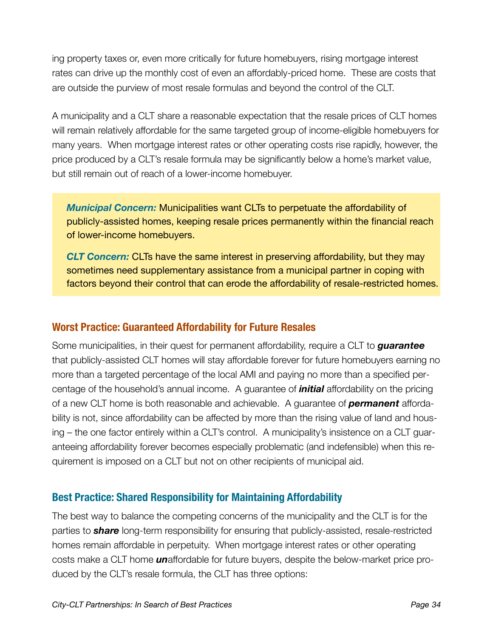ing property taxes or, even more critically for future homebuyers, rising mortgage interest rates can drive up the monthly cost of even an affordably-priced home. These are costs that are outside the purview of most resale formulas and beyond the control of the CLT.

A municipality and a CLT share a reasonable expectation that the resale prices of CLT homes will remain relatively affordable for the same targeted group of income-eligible homebuyers for many years. When mortgage interest rates or other operating costs rise rapidly, however, the price produced by a CLT's resale formula may be significantly below a home's market value, but still remain out of reach of a lower-income homebuyer.

*Municipal Concern:* Municipalities want CLTs to perpetuate the affordability of publicly-assisted homes, keeping resale prices permanently within the financial reach of lower-income homebuyers.

*CLT Concern:* CLTs have the same interest in preserving affordability, but they may sometimes need supplementary assistance from a municipal partner in coping with factors beyond their control that can erode the affordability of resale-restricted homes.

#### **Worst Practice: Guaranteed Affordability for Future Resales**

Some municipalities, in their quest for permanent affordability, require a CLT to *guarantee* that publicly-assisted CLT homes will stay affordable forever for future homebuyers earning no more than a targeted percentage of the local AMI and paying no more than a specified percentage of the household's annual income. A guarantee of *initial* affordability on the pricing of a new CLT home is both reasonable and achievable. A guarantee of *permanent* affordability is not, since affordability can be affected by more than the rising value of land and housing – the one factor entirely within a CLT's control. A municipality's insistence on a CLT guaranteeing affordability forever becomes especially problematic (and indefensible) when this requirement is imposed on a CLT but not on other recipients of municipal aid.

#### **Best Practice: Shared Responsibility for Maintaining Affordability**

The best way to balance the competing concerns of the municipality and the CLT is for the parties to *share* long-term responsibility for ensuring that publicly-assisted, resale-restricted homes remain affordable in perpetuity. When mortgage interest rates or other operating costs make a CLT home *un*affordable for future buyers, despite the below-market price produced by the CLT's resale formula, the CLT has three options: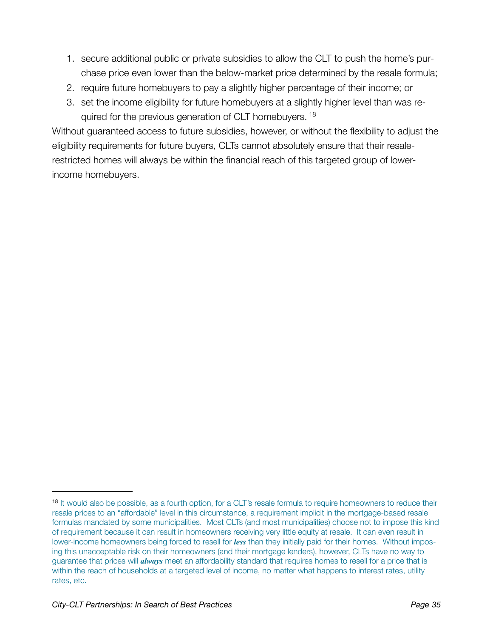- 1. secure additional public or private subsidies to allow the CLT to push the home's purchase price even lower than the below-market price determined by the resale formula;
- 2. require future homebuyers to pay a slightly higher percentage of their income; or
- 3. set the income eligibility for future homebuyers at a slightly higher level than was re-quired for the previous generation of CLT homebuyers.<sup>[18](#page-36-0)</sup>

Without guaranteed access to future subsidies, however, or without the flexibility to adjust the eligibility requirements for future buyers, CLTs cannot absolutely ensure that their resalerestricted homes will always be within the financial reach of this targeted group of lowerincome homebuyers.

<span id="page-36-0"></span><sup>&</sup>lt;sup>18</sup> It would also be possible, as a fourth option, for a CLT's resale formula to require homeowners to reduce their resale prices to an "affordable" level in this circumstance, a requirement implicit in the mortgage-based resale formulas mandated by some municipalities. Most CLTs (and most municipalities) choose not to impose this kind of requirement because it can result in homeowners receiving very little equity at resale. It can even result in lower-income homeowners being forced to resell for *less* than they initially paid for their homes. Without imposing this unacceptable risk on their homeowners (and their mortgage lenders), however, CLTs have no way to guarantee that prices will *always* meet an affordability standard that requires homes to resell for a price that is within the reach of households at a targeted level of income, no matter what happens to interest rates, utility rates, etc.